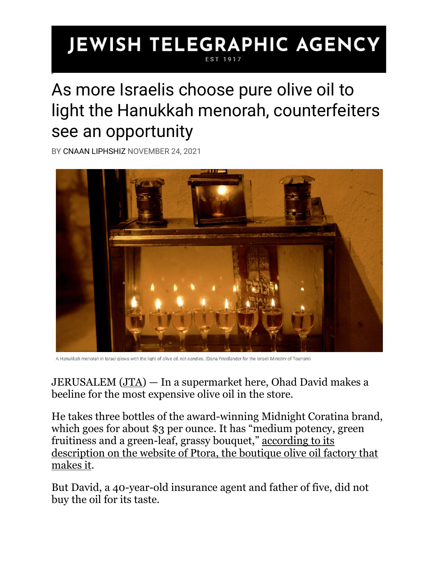## **JEWISH TELEGRAPHIC AGENCY**

## As more Israelis choose pure olive oil to light the Hanukkah menorah, counterfeiters see an opportunity

BY [CNAAN LIPHSHIZ](https://www.jta.org/author/cnaan-liphshiz) NOVEMBER 24, 2021



A Hanukkah menorah in Israel glows with the light of olive oil, not candles. (Dana Friedlander for the Israeli Ministry of Tourism)

JERUSALEM [\(JTA\)](http://www.jta.org/) — In a supermarket here, Ohad David makes a beeline for the most expensive olive oil in the store.

He takes three bottles of the award-winning Midnight Coratina brand, which goes for about \$3 per ounce. It has "medium potency, green fruitiness and a green-leaf, grassy bouquet," [according](https://www.ptora.co.il/product/midnight-coratina/) to its [description on the website of Ptora, the boutique olive oil factory that](https://www.ptora.co.il/product/midnight-coratina/)  [makes it.](https://www.ptora.co.il/product/midnight-coratina/)

But David, a 40-year-old insurance agent and father of five, did not buy the oil for its taste.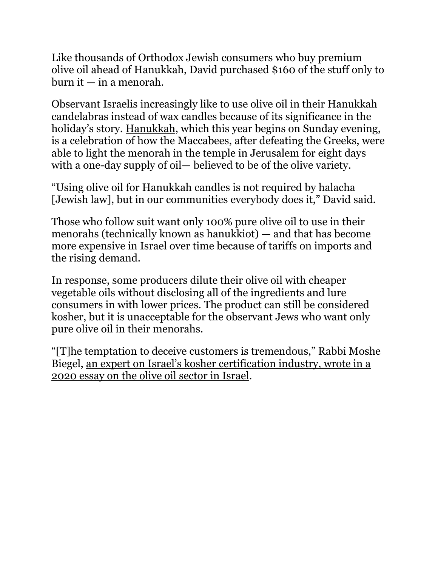Like thousands of Orthodox Jewish consumers who buy premium olive oil ahead of Hanukkah, David purchased \$160 of the stuff only to burn it — in a menorah.

Observant Israelis increasingly like to use olive oil in their Hanukkah candelabras instead of wax candles because of its significance in the holiday's story. [Hanukkah,](https://www.myjewishlearning.com/article/hanukkah-101/) which this year begins on Sunday evening, is a celebration of how the Maccabees, after defeating the Greeks, were able to light the menorah in the temple in Jerusalem for eight days with a one-day supply of oil— believed to be of the olive variety.

"Using olive oil for Hanukkah candles is not required by halacha [Jewish law], but in our communities everybody does it," David said.

Those who follow suit want only 100% pure olive oil to use in their menorahs (technically known as hanukkiot) — and that has become more expensive in Israel over time because of tariffs on imports and the rising demand.

In response, some producers dilute their olive oil with cheaper vegetable oils without disclosing all of the ingredients and lure consumers in with lower prices. The product can still be considered kosher, but it is unacceptable for the observant Jews who want only pure olive oil in their menorahs.

"[T]he temptation to deceive customers is tremendous," Rabbi Moshe Biegel, [an expert on Israel's kosher certification industry, wrote in a](https://www.tzohar.org.il/?p=2728)  [2020 essay on the olive oil sector in Israel.](https://www.tzohar.org.il/?p=2728)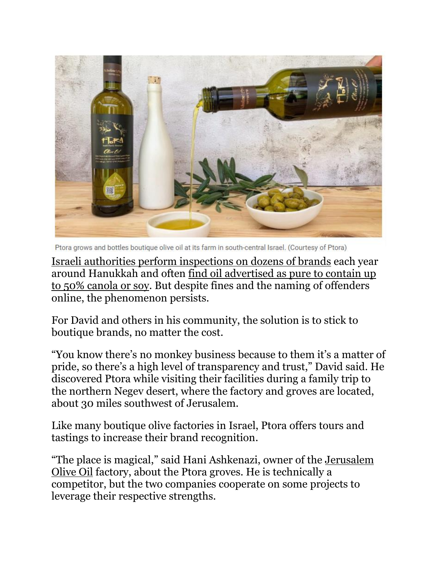

Ptora grows and bottles boutique olive oil at its farm in south-central Israel. (Courtesy of Ptora)

[Israeli authorities perform inspections on dozens of brands](https://www.israel.agrisupportonline.com/news/csv/csvread.pl?show=7687&mytemplate=tp2) each year around Hanukkah and often [find oil advertised as pure to contain up](https://haipo.co.il/item/275318)  [to 50% canola or soy.](https://haipo.co.il/item/275318) But despite fines and the naming of offenders online, the phenomenon persists.

For David and others in his community, the solution is to stick to boutique brands, no matter the cost.

"You know there's no monkey business because to them it's a matter of pride, so there's a high level of transparency and trust," David said. He discovered Ptora while visiting their facilities during a family trip to the northern Negev desert, where the factory and groves are located, about 30 miles southwest of Jerusalem.

Like many boutique olive factories in Israel, Ptora offers tours and tastings to increase their brand recognition.

"The place is magical," said Hani Ashkenazi, owner of the [Jerusalem](https://www.jerusalemoliveoil.com/english/)  [Olive Oil](https://www.jerusalemoliveoil.com/english/) factory, about the Ptora groves. He is technically a competitor, but the two companies cooperate on some projects to leverage their respective strengths.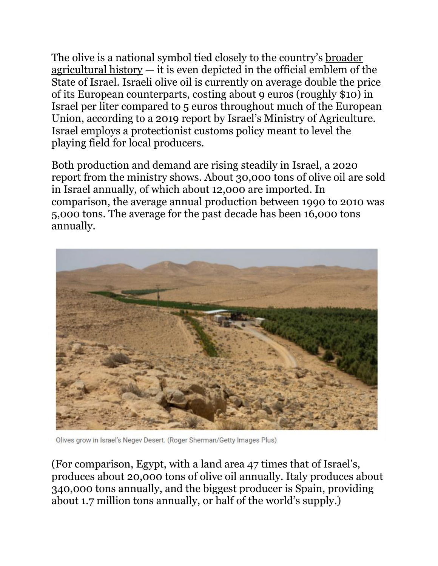The olive is a national symbol tied closely to the country's [broader](https://www.haaretz.com/archaeology/.premium-olives-first-domesticated-7-000-years-ago-in-israel-study-says-1.8663128)  [agricultural history](https://www.haaretz.com/archaeology/.premium-olives-first-domesticated-7-000-years-ago-in-israel-study-says-1.8663128)  $-$  it is even depicted in the official emblem of the State of Israel. [Israeli olive oil is currently on average double the price](https://www.gov.il/BlobFolder/reports/olive-oil-2019/he/prices_olive_oil_2019.pdf)  [of its European counterparts,](https://www.gov.il/BlobFolder/reports/olive-oil-2019/he/prices_olive_oil_2019.pdf) costing about 9 euros (roughly \$10) in Israel per liter compared to 5 euros throughout much of the European Union, according to a 2019 report by Israel's Ministry of Agriculture. Israel employs a protectionist customs policy meant to level the playing field for local producers.

[Both production and demand are rising steadily in Israel,](https://www.gov.il/he/departments/publications/reports/olive-oil-2019) a 2020 report from the ministry shows. About 30,000 tons of olive oil are sold in Israel annually, of which about 12,000 are imported. In comparison, the average annual production between 1990 to 2010 was 5,000 tons. The average for the past decade has been 16,000 tons annually.



Olives grow in Israel's Negev Desert. (Roger Sherman/Getty Images Plus)

(For comparison, Egypt, with a land area 47 times that of Israel's, produces about 20,000 tons of olive oil annually. Italy produces about 340,000 tons annually, and the biggest producer is Spain, providing about 1.7 million tons annually, or half of the world's supply.)